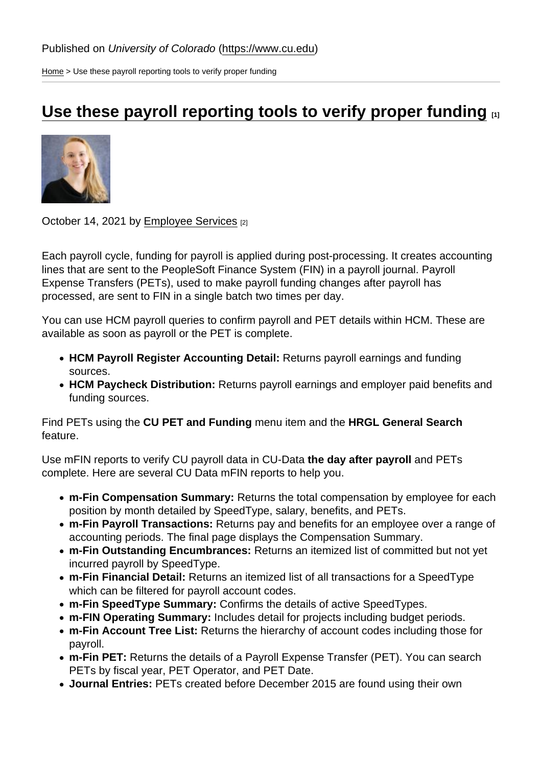[Home](https://www.cu.edu/) > Use these payroll reporting tools to verify proper funding

## [Use these payroll reporting tools to verify proper funding](https://www.cu.edu/blog/hcm-community/use-these-payroll-reporting-tools-verify-proper-funding)  $\Box$

October 14, 2021 by [Employee Services](https://www.cu.edu/blog/hcm-community/author/34887) [2]

Each payroll cycle, funding for payroll is applied during post-processing. It creates accounting lines that are sent to the PeopleSoft Finance System (FIN) in a payroll journal. Payroll Expense Transfers (PETs), used to make payroll funding changes after payroll has processed, are sent to FIN in a single batch two times per day.

You can use HCM payroll queries to confirm payroll and PET details within HCM. These are available as soon as payroll or the PET is complete.

- HCM Payroll Register Accounting Detail: Returns payroll earnings and funding sources.
- HCM Paycheck Distribution: Returns payroll earnings and employer paid benefits and funding sources.

Find PETs using the CU PET and Funding menu item and the HRGL General Search feature.

Use mFIN reports to verify CU payroll data in CU-Data the day after payroll and PETs complete. Here are several CU Data mFIN reports to help you.

- m-Fin Compensation Summary: Returns the total compensation by employee for each position by month detailed by SpeedType, salary, benefits, and PETs.
- m-Fin Payroll Transactions: Returns pay and benefits for an employee over a range of accounting periods. The final page displays the Compensation Summary.
- m-Fin Outstanding Encumbrances: Returns an itemized list of committed but not yet incurred payroll by SpeedType.
- m-Fin Financial Detail: Returns an itemized list of all transactions for a SpeedType which can be filtered for payroll account codes.
- m-Fin SpeedType Summary: Confirms the details of active SpeedTypes.
- m-FIN Operating Summary: Includes detail for projects including budget periods.
- m-Fin Account Tree List: Returns the hierarchy of account codes including those for payroll.
- m-Fin PET: Returns the details of a Payroll Expense Transfer (PET). You can search PETs by fiscal year, PET Operator, and PET Date.
- Journal Entries: PETs created before December 2015 are found using their own